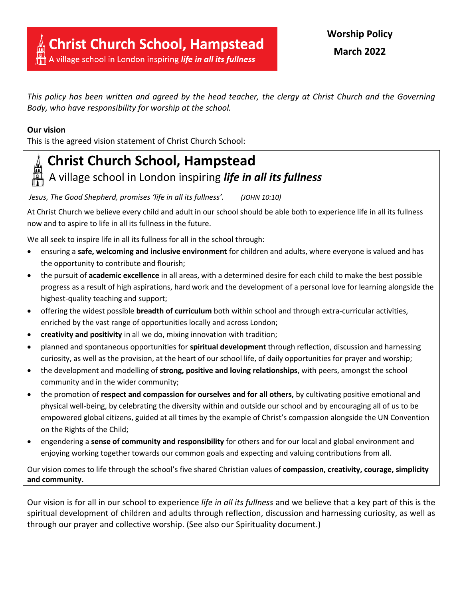*This policy has been written and agreed by the head teacher, the clergy at Christ Church and the Governing Body, who have responsibility for worship at the school.*

## **Our vision**

This is the agreed vision statement of Christ Church School: 



## **Christ Church School, Hampstead** A village school in London inspiring *life in all its fullness*

*Jesus, The Good Shepherd, promises 'life in all its fullness'. (JOHN 10:10)*

At Christ Church we believe every child and adult in our school should be able both to experience life in all its fullness now and to aspire to life in all its fullness in the future.

We all seek to inspire life in all its fullness for all in the school through:

- ensuring a **safe, welcoming and inclusive environment** for children and adults, where everyone is valued and has the opportunity to contribute and flourish;
- the pursuit of **academic excellence** in all areas, with a determined desire for each child to make the best possible progress as a result of high aspirations, hard work and the development of a personal love for learning alongside the highest-quality teaching and support;
- offering the widest possible **breadth of curriculum** both within school and through extra-curricular activities, enriched by the vast range of opportunities locally and across London;
- **creativity and positivity** in all we do, mixing innovation with tradition;
- planned and spontaneous opportunities for **spiritual development** through reflection, discussion and harnessing curiosity, as well as the provision, at the heart of our school life, of daily opportunities for prayer and worship;
- the development and modelling of **strong, positive and loving relationships**, with peers, amongst the school community and in the wider community;
- the promotion of **respect and compassion for ourselves and for all others,** by cultivating positive emotional and physical well-being, by celebrating the diversity within and outside our school and by encouraging all of us to be empowered global citizens, guided at all times by the example of Christ's compassion alongside the UN Convention on the Rights of the Child;
- engendering a **sense of community and responsibility** for others and for our local and global environment and enjoying working together towards our common goals and expecting and valuing contributions from all.

Our vision comes to life through the school's five shared Christian values of **compassion, creativity, courage, simplicity and community.**

Our vision is for all in our school to experience *life in all its fullness* and we believe that a key part of this is the spiritual development of children and adults through reflection, discussion and harnessing curiosity, as well as through our prayer and collective worship. (See also our Spirituality document.)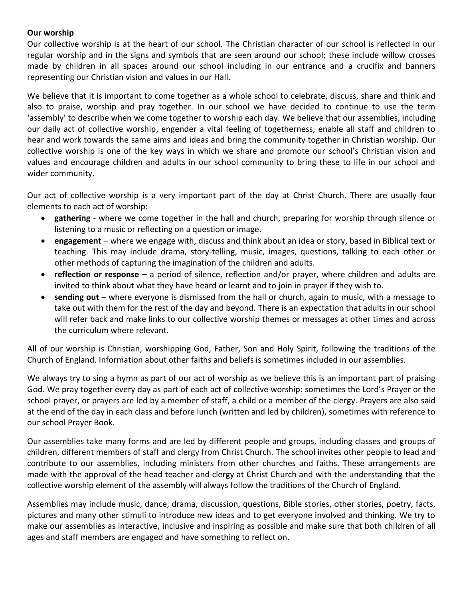## **Our worship**

Our collective worship is at the heart of our school. The Christian character of our school is reflected in our regular worship and in the signs and symbols that are seen around our school; these include willow crosses made by children in all spaces around our school including in our entrance and a crucifix and banners representing our Christian vision and values in our Hall.

We believe that it is important to come together as a whole school to celebrate, discuss, share and think and also to praise, worship and pray together. In our school we have decided to continue to use the term 'assembly' to describe when we come together to worship each day. We believe that our assemblies, including our daily act of collective worship, engender a vital feeling of togetherness, enable all staff and children to hear and work towards the same aims and ideas and bring the community together in Christian worship. Our collective worship is one of the key ways in which we share and promote our school's Christian vision and values and encourage children and adults in our school community to bring these to life in our school and wider community.

Our act of collective worship is a very important part of the day at Christ Church. There are usually four elements to each act of worship:

- **gathering** where we come together in the hall and church, preparing for worship through silence or listening to a music or reflecting on a question or image.
- **engagement** where we engage with, discuss and think about an idea or story, based in Biblical text or teaching. This may include drama, story-telling, music, images, questions, talking to each other or other methods of capturing the imagination of the children and adults.
- **reflection or response** a period of silence, reflection and/or prayer, where children and adults are invited to think about what they have heard or learnt and to join in prayer if they wish to.
- **sending out** where everyone is dismissed from the hall or church, again to music, with a message to take out with them for the rest of the day and beyond. There is an expectation that adults in our school will refer back and make links to our collective worship themes or messages at other times and across the curriculum where relevant.

All of our worship is Christian, worshipping God, Father, Son and Holy Spirit, following the traditions of the Church of England. Information about other faiths and beliefs is sometimes included in our assemblies.

We always try to sing a hymn as part of our act of worship as we believe this is an important part of praising God. We pray together every day as part of each act of collective worship: sometimes the Lord's Prayer or the school prayer, or prayers are led by a member of staff, a child or a member of the clergy. Prayers are also said at the end of the day in each class and before lunch (written and led by children), sometimes with reference to our school Prayer Book.

Our assemblies take many forms and are led by different people and groups, including classes and groups of children, different members of staff and clergy from Christ Church. The school invites other people to lead and contribute to our assemblies, including ministers from other churches and faiths. These arrangements are made with the approval of the head teacher and clergy at Christ Church and with the understanding that the collective worship element of the assembly will always follow the traditions of the Church of England.

Assemblies may include music, dance, drama, discussion, questions, Bible stories, other stories, poetry, facts, pictures and many other stimuli to introduce new ideas and to get everyone involved and thinking. We try to make our assemblies as interactive, inclusive and inspiring as possible and make sure that both children of all ages and staff members are engaged and have something to reflect on.